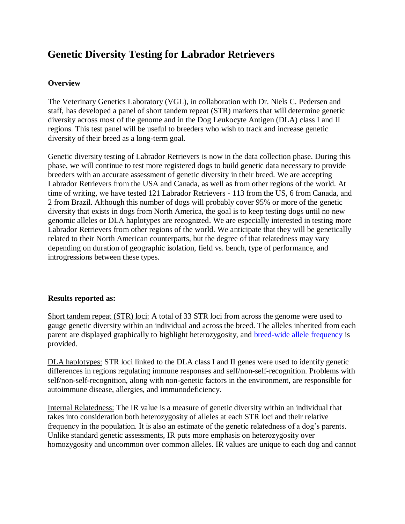# **Genetic Diversity Testing for Labrador Retrievers**

### **Overview**

The Veterinary Genetics Laboratory (VGL), in collaboration with Dr. Niels C. Pedersen and staff, has developed a panel of short tandem repeat (STR) markers that will determine genetic diversity across most of the genome and in the Dog Leukocyte Antigen (DLA) class I and II regions. This test panel will be useful to breeders who wish to track and increase genetic diversity of their breed as a long-term goal.

Genetic diversity testing of Labrador Retrievers is now in the data collection phase. During this phase, we will continue to test more registered dogs to build genetic data necessary to provide breeders with an accurate assessment of genetic diversity in their breed. We are accepting Labrador Retrievers from the USA and Canada, as well as from other regions of the world. At time of writing, we have tested 121 Labrador Retrievers - 113 from the US, 6 from Canada, and 2 from Brazil. Although this number of dogs will probably cover 95% or more of the genetic diversity that exists in dogs from North America, the goal is to keep testing dogs until no new genomic alleles or DLA haplotypes are recognized. We are especially interested in testing more Labrador Retrievers from other regions of the world. We anticipate that they will be genetically related to their North American counterparts, but the degree of that relatedness may vary depending on duration of geographic isolation, field vs. bench, type of performance, and introgressions between these types.

### **[Results reported as:](https://www.vgl.ucdavis.edu/myvgl/dogsporder.html)**

Short tandem repeat (STR) loci: A total of 33 STR loci from across the genome were used to gauge genetic diversity within an individual and across the breed. The alleles inherited from each parent are displayed graphically to highlight heterozygosity, and breed-wide allele frequency is provided.

DLA haplotypes: STR loci linked to the DLA class I and II genes were used to identify genetic differences in regions regulating immune responses and self/non-self-recognition. Problems with self/non-self-recognition, along with non-genetic factors in the environment, are responsible for autoimmune disease, allergies, and immunodeficiency.

Internal Relatedness: The IR value is a measure of genetic diversity within an individual that takes into consideration both heterozygosity of alleles at each STR loci and their relative frequency in the population. It is also an estimate of the genetic relatedness of a dog's parents. Unlike standard genetic assessments, IR puts more emphasis on heterozygosity over homozygosity and uncommon over common alleles. IR values are unique to each dog and cannot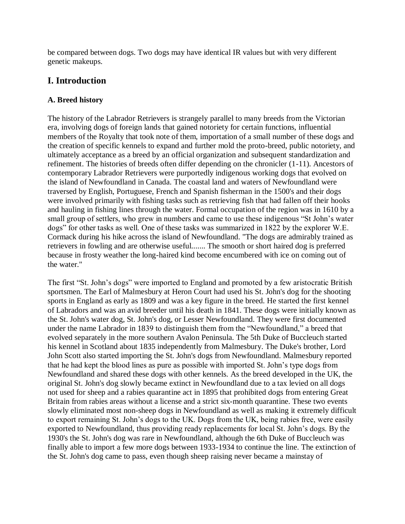be compared between dogs. Two dogs may have identical IR values but with very different genetic makeups.

# **I. Introduction**

### **A. Breed history**

The history of the Labrador Retrievers is strangely parallel to many breeds from the Victorian era, involving dogs of foreign lands that gained notoriety for certain functions, influential members of the Royalty that took note of them, importation of a small number of these dogs and the creation of specific kennels to expand and further mold the proto-breed, public notoriety, and ultimately acceptance as a breed by an official organization and subsequent standardization and refinement. The histories of breeds often differ depending on the chronicler (1-11). Ancestors of contemporary Labrador Retrievers were purportedly indigenous working dogs that evolved on the island of Newfoundland in Canada. The coastal land and waters of Newfoundland were traversed by English, Portuguese, French and Spanish fisherman in the 1500's and their dogs were involved primarily with fishing tasks such as retrieving fish that had fallen off their hooks and hauling in fishing lines through the water. Formal occupation of the region was in 1610 by a small group of settlers, who grew in numbers and came to use these indigenous "St John's water dogs" for other tasks as well. One of these tasks was summarized in 1822 by the explorer W.E. Cormack during his hike across the island of Newfoundland. "The dogs are admirably trained as retrievers in fowling and are otherwise useful....... The smooth or short haired dog is preferred because in frosty weather the long-haired kind become encumbered with ice on coming out of the water."

The first "St. John's dogs" were imported to England and promoted by a few aristocratic British sportsmen. The Earl of Malmesbury at Heron Court had used his St. John's dog for the shooting sports in England as early as 1809 and was a key figure in the breed. He started the first kennel of Labradors and was an avid breeder until his death in 1841. These dogs were initially known as the St. John's water dog, St. John's dog, or Lesser Newfoundland. They were first documented under the name Labrador in 1839 to distinguish them from the "Newfoundland," a breed that evolved separately in the more southern Avalon Peninsula. The 5th Duke of Buccleuch started his kennel in Scotland about 1835 independently from Malmesbury. The Duke's brother, Lord John Scott also started importing the St. John's dogs from Newfoundland. Malmesbury reported that he had kept the blood lines as pure as possible with imported St. John's type dogs from Newfoundland and shared these dogs with other kennels. As the breed developed in the UK, the original St. John's dog slowly became extinct in Newfoundland due to a tax levied on all dogs not used for sheep and a rabies quarantine act in 1895 that prohibited dogs from entering Great Britain from rabies areas without a license and a strict six-month quarantine. These two events slowly eliminated most non-sheep dogs in Newfoundland as well as making it extremely difficult to export remaining St. John's dogs to the UK. Dogs from the UK, being rabies free, were easily exported to Newfoundland, thus providing ready replacements for local St. John's dogs. By the 1930's the St. John's dog was rare in Newfoundland, although the 6th Duke of Buccleuch was finally able to import a few more dogs between 1933-1934 to continue the line. The extinction of the St. John's dog came to pass, even though sheep raising never became a mainstay of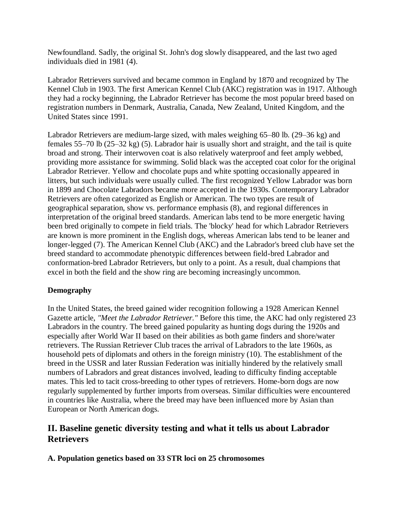Newfoundland. Sadly, the original St. John's dog slowly disappeared, and the last two aged individuals died in 1981 (4).

Labrador Retrievers survived and became common in England by 1870 and recognized by The Kennel Club in 1903. The first American Kennel Club (AKC) registration was in 1917. Although they had a rocky beginning, the Labrador Retriever has become the most popular breed based on registration numbers in Denmark, Australia, Canada, New Zealand, United Kingdom, and the United States since 1991.

Labrador Retrievers are medium-large sized, with males weighing 65–80 lb. (29–36 kg) and females 55–70 lb (25–32 kg) (5). Labrador hair is usually short and straight, and the tail is quite broad and strong. Their interwoven coat is also relatively waterproof and feet amply webbed, providing more assistance for swimming. Solid black was the accepted coat color for the original Labrador Retriever. Yellow and chocolate pups and white spotting occasionally appeared in litters, but such individuals were usually culled. The first recognized Yellow Labrador was born in 1899 and Chocolate Labradors became more accepted in the 1930s. Contemporary Labrador Retrievers are often categorized as English or American. The two types are result of geographical separation, show vs. performance emphasis (8), and regional differences in interpretation of the original breed standards. American labs tend to be more energetic having been bred originally to compete in field trials. The 'blocky' head for which Labrador Retrievers are known is more prominent in the English dogs, whereas American labs tend to be leaner and longer-legged (7). The American Kennel Club (AKC) and the Labrador's breed club have set the breed standard to accommodate phenotypic differences between field-bred Labrador and conformation-bred Labrador Retrievers, but only to a point. As a result, dual champions that excel in both the field and the show ring are becoming increasingly uncommon.

### **Demography**

In the United States, the breed gained wider recognition following a 1928 American Kennel Gazette article, *"Meet the Labrador Retriever."* Before this time, the AKC had only registered 23 Labradors in the country. The breed gained popularity as hunting dogs during the 1920s and especially after World War II based on their abilities as both game finders and shore/water retrievers. The Russian Retriever Club traces the arrival of Labradors to the late 1960s, as household pets of diplomats and others in the foreign ministry (10). The establishment of the breed in the USSR and later Russian Federation was initially hindered by the relatively small numbers of Labradors and great distances involved, leading to difficulty finding acceptable mates. This led to tacit cross-breeding to other types of retrievers. Home-born dogs are now regularly supplemented by further imports from overseas. Similar difficulties were encountered in countries like Australia, where the breed may have been influenced more by Asian than European or North American dogs.

# **II. Baseline genetic diversity testing and what it tells us about Labrador Retrievers**

**A. Population genetics based on 33 STR loci on 25 chromosomes**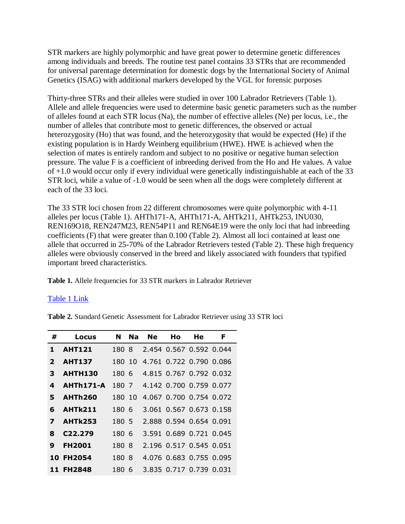STR markers are highly polymorphic and have great power to determine genetic differences among individuals and breeds. The routine test panel contains 33 STRs that are recommended for universal parentage determination for domestic dogs by the International Society of Animal Genetics (ISAG) with additional markers developed by the VGL for forensic purposes

Thirty-three STRs and their alleles were studied in over 100 Labrador Retrievers (Table 1). Allele and allele frequencies were used to determine basic genetic parameters such as the number of alleles found at each STR locus (Na), the number of effective alleles (Ne) per locus, i.e., the number of alleles that contribute most to genetic differences, the observed or actual heterozygosity (Ho) that was found, and the heterozygosity that would be expected (He) if the existing population is in Hardy Weinberg equilibrium (HWE). HWE is achieved when the selection of mates is entirely random and subject to no positive or negative human selection pressure. The value F is a coefficient of inbreeding derived from the Ho and He values. A value of +1.0 would occur only if every individual were genetically indistinguishable at each of the 33 STR loci, while a value of -1.0 would be seen when all the dogs were completely different at each of the 33 loci.

The 33 STR loci chosen from 22 different chromosomes were quite polymorphic with 4-11 alleles per locus (Table 1). AHTh171-A, AHTh171-A, AHTk211, AHTk253, INU030, REN169O18, REN247M23, REN54P11 and REN64E19 were the only loci that had inbreeding coefficients (F) that were greater than 0.100 (Table 2). Almost all loci contained at least one allele that occurred in 25-70% of the Labrador Retrievers tested (Table 2). These high frequency alleles were obviously conserved in the breed and likely associated with founders that typified important breed characteristics.

**Table 1.** Allele frequencies for 33 STR markers in Labrador Retriever

#### [Table 1 Link](https://www.vgl.ucdavis.edu/services/dog/GeneticDiversityInLabradorRetrieversSTRInfo.php)

**Table 2.** Standard Genetic Assessment for Labrador Retriever using 33 STR loci

| #            | Locus                | N      | <b>Na</b> | Ne | Ho                      | He | F |
|--------------|----------------------|--------|-----------|----|-------------------------|----|---|
| 1            | <b>AHT121</b>        | 1808   |           |    | 2.454 0.567 0.592 0.044 |    |   |
| $\mathbf{2}$ | <b>AHT137</b>        | 180 10 |           |    | 4.761 0.722 0.790 0.086 |    |   |
| 3            | <b>AHTH130</b>       | 180 6  |           |    | 4.815 0.767 0.792 0.032 |    |   |
| 4            | AHTh171-A            | 180 7  |           |    | 4.142 0.700 0.759 0.077 |    |   |
| 5            | <b>AHTh260</b>       | 180 10 |           |    | 4.067 0.700 0.754 0.072 |    |   |
| 6            | AHTk211              | 180 6  |           |    | 3.061 0.567 0.673 0.158 |    |   |
| 7            | <b>AHTk253</b>       | 180 5  |           |    | 2.888 0.594 0.654 0.091 |    |   |
| 8            | C <sub>22</sub> .279 | 180 6  |           |    | 3.591 0.689 0.721 0.045 |    |   |
| 9            | <b>FH2001</b>        | 180 8  |           |    | 2.196 0.517 0.545 0.051 |    |   |
|              | <b>10 FH2054</b>     | 180 8  |           |    | 4.076 0.683 0.755 0.095 |    |   |
|              | <b>11 FH2848</b>     | 180 6  |           |    | 3.835 0.717 0.739 0.031 |    |   |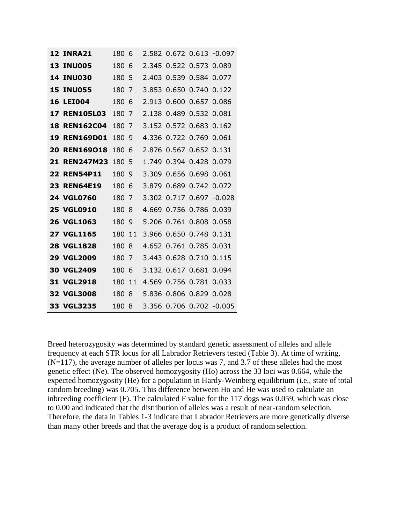| <b>12 INRA21</b>    | 180 | 6  |       |                         |                   | 2.582 0.672 0.613 -0.097 |
|---------------------|-----|----|-------|-------------------------|-------------------|--------------------------|
| <b>13 INU005</b>    | 180 | 6  | 2.345 |                         | 0.522 0.573 0.089 |                          |
| <b>14 INU030</b>    | 180 | -5 |       | 2.403 0.539 0.584 0.077 |                   |                          |
| <b>15 INU055</b>    | 180 | 7  |       | 3.853 0.650 0.740       |                   | 0.122                    |
| <b>16 LEI004</b>    | 180 | 6  |       | 2.913 0.600 0.657 0.086 |                   |                          |
| <b>17 REN105L03</b> | 180 | 7  | 2.138 |                         | 0.489 0.532 0.081 |                          |
| <b>18 REN162C04</b> | 180 | 7  |       | 3.152 0.572 0.683 0.162 |                   |                          |
| <b>19 REN169D01</b> | 180 | 9  | 4.336 |                         | 0.722 0.769       | 0.061                    |
| 20 REN169018        | 180 | 6  |       | 2.876 0.567 0.652 0.131 |                   |                          |
| 21 REN247M23        | 180 | 5  | 1.749 |                         | 0.394 0.428 0.079 |                          |
| <b>22 REN54P11</b>  | 180 | 9  | 3.309 |                         | 0.656 0.698 0.061 |                          |
| <b>23 REN64E19</b>  | 180 | 6  |       | 3.879 0.689 0.742 0.072 |                   |                          |
| 24 VGL0760          | 180 | 7  | 3.302 |                         |                   | 0.717 0.697 -0.028       |
| <b>25 VGL0910</b>   | 180 | 8  | 4.669 |                         | 0.756 0.786 0.039 |                          |
| 26 VGL1063          | 180 | 9  | 5.206 | 0.761                   | 0.808             | 0.058                    |
| <b>27 VGL1165</b>   | 180 | 11 |       | 3.966 0.650 0.748 0.131 |                   |                          |
| 28 VGL1828          | 180 | 8  | 4.652 |                         | 0.761 0.785 0.031 |                          |
| <b>29 VGL2009</b>   | 180 | 7  | 3.443 |                         | $0.628$ 0.710     | 0.115                    |
| <b>30 VGL2409</b>   | 180 | 6  |       | 3.132 0.617 0.681       |                   | 0.094                    |
| 31 VGL2918          | 180 | 11 | 4.569 |                         | 0.756 0.781       | 0.033                    |
| 32 VGL3008          | 180 | 8  |       | 5.836 0.806 0.829       |                   | 0.028                    |
| 33 VGL3235          | 180 | 8  |       |                         |                   | 3.356 0.706 0.702 -0.005 |

Breed heterozygosity was determined by standard genetic assessment of alleles and allele frequency at each STR locus for all Labrador Retrievers tested (Table 3). At time of writing,  $(N=117)$ , the average number of alleles per locus was 7, and 3.7 of these alleles had the most genetic effect (Ne). The observed homozygosity (Ho) across the 33 loci was 0.664, while the expected homozygosity (He) for a population in Hardy-Weinberg equilibrium (i.e., state of total random breeding) was 0.705. This difference between Ho and He was used to calculate an inbreeding coefficient (F). The calculated F value for the 117 dogs was 0.059, which was close to 0.00 and indicated that the distribution of alleles was a result of near-random selection. Therefore, the data in Tables 1-3 indicate that Labrador Retrievers are more genetically diverse than many other breeds and that the average dog is a product of random selection.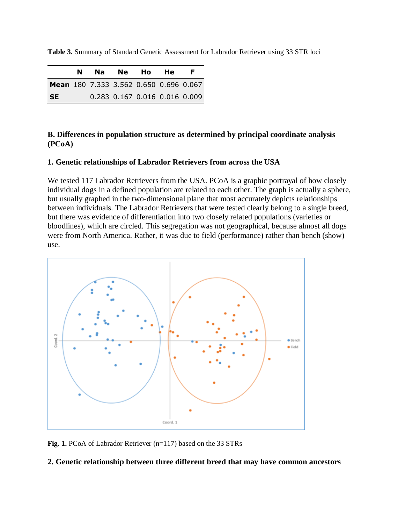|  |  |  |  | Table 3. Summary of Standard Genetic Assessment for Labrador Retriever using 33 STR loci |
|--|--|--|--|------------------------------------------------------------------------------------------|
|--|--|--|--|------------------------------------------------------------------------------------------|

|                                               |  | Na Ne Ho He                   | F. |
|-----------------------------------------------|--|-------------------------------|----|
| <b>Mean</b> 180 7.333 3.562 0.650 0.696 0.067 |  |                               |    |
| <b>SE</b>                                     |  | 0.283 0.167 0.016 0.016 0.009 |    |

#### **B. Differences in population structure as determined by principal coordinate analysis (PCoA)**

#### **1. Genetic relationships of Labrador Retrievers from across the USA**

We tested 117 Labrador Retrievers from the USA. PCoA is a graphic portrayal of how closely individual dogs in a defined population are related to each other. The graph is actually a sphere, but usually graphed in the two-dimensional plane that most accurately depicts relationships between individuals. The Labrador Retrievers that were tested clearly belong to a single breed, but there was evidence of differentiation into two closely related populations (varieties or bloodlines), which are circled. This segregation was not geographical, because almost all dogs were from North America. Rather, it was due to field (performance) rather than bench (show) use.



**Fig. 1.** PCoA of Labrador Retriever (n=117) based on the 33 STRs

#### **2. Genetic relationship between three different breed that may have common ancestors**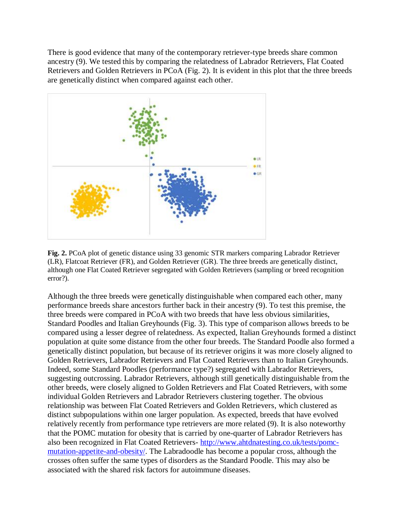There is good evidence that many of the contemporary retriever-type breeds share common ancestry (9). We tested this by comparing the relatedness of Labrador Retrievers, Flat Coated Retrievers and Golden Retrievers in PCoA (Fig. 2). It is evident in this plot that the three breeds are genetically distinct when compared against each other.



**Fig. 2.** PCoA plot of genetic distance using 33 genomic STR markers comparing Labrador Retriever (LR), Flatcoat Retriever (FR), and Golden Retriever (GR). The three breeds are genetically distinct, although one Flat Coated Retriever segregated with Golden Retrievers (sampling or breed recognition error?).

Although the three breeds were genetically distinguishable when compared each other, many performance breeds share ancestors further back in their ancestry (9). To test this premise, the three breeds were compared in PCoA with two breeds that have less obvious similarities, Standard Poodles and Italian Greyhounds (Fig. 3). This type of comparison allows breeds to be compared using a lesser degree of relatedness. As expected, Italian Greyhounds formed a distinct population at quite some distance from the other four breeds. The Standard Poodle also formed a genetically distinct population, but because of its retriever origins it was more closely aligned to Golden Retrievers, Labrador Retrievers and Flat Coated Retrievers than to Italian Greyhounds. Indeed, some Standard Poodles (performance type?) segregated with Labrador Retrievers, suggesting outcrossing. Labrador Retrievers, although still genetically distinguishable from the other breeds, were closely aligned to Golden Retrievers and Flat Coated Retrievers, with some individual Golden Retrievers and Labrador Retrievers clustering together. The obvious relationship was between Flat Coated Retrievers and Golden Retrievers, which clustered as distinct subpopulations within one larger population. As expected, breeds that have evolved relatively recently from performance type retrievers are more related (9). It is also noteworthy that the POMC mutation for obesity that is carried by one-quarter of Labrador Retrievers has also been recognized in Flat Coated Retrievers- [http://www.ahtdnatesting.co.uk/tests/pomc](http://www.ahtdnatesting.co.uk/tests/pomc-mutation-appetite-and-obesity/)[mutation-appetite-and-obesity/.](http://www.ahtdnatesting.co.uk/tests/pomc-mutation-appetite-and-obesity/) The Labradoodle has become a popular cross, although the crosses often suffer the same types of disorders as the Standard Poodle. This may also be associated with the shared risk factors for autoimmune diseases.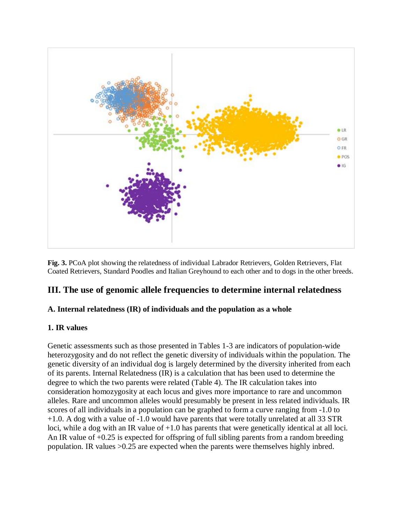

**Fig. 3.** PCoA plot showing the relatedness of individual Labrador Retrievers, Golden Retrievers, Flat Coated Retrievers, Standard Poodles and Italian Greyhound to each other and to dogs in the other breeds.

# **III. The use of genomic allele frequencies to determine internal relatedness**

### **A. Internal relatedness (IR) of individuals and the population as a whole**

#### **1. IR values**

Genetic assessments such as those presented in Tables 1-3 are indicators of population-wide heterozygosity and do not reflect the genetic diversity of individuals within the population. The genetic diversity of an individual dog is largely determined by the diversity inherited from each of its parents. Internal Relatedness (IR) is a calculation that has been used to determine the degree to which the two parents were related (Table 4). The IR calculation takes into consideration homozygosity at each locus and gives more importance to rare and uncommon alleles. Rare and uncommon alleles would presumably be present in less related individuals. IR scores of all individuals in a population can be graphed to form a curve ranging from -1.0 to +1.0. A dog with a value of -1.0 would have parents that were totally unrelated at all 33 STR loci, while a dog with an IR value of  $+1.0$  has parents that were genetically identical at all loci. An IR value of +0.25 is expected for offspring of full sibling parents from a random breeding population. IR values >0.25 are expected when the parents were themselves highly inbred.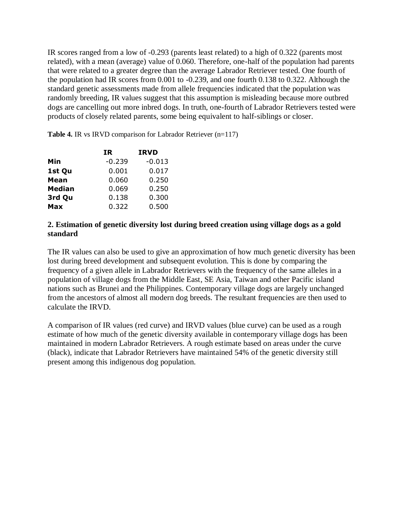IR scores ranged from a low of -0.293 (parents least related) to a high of 0.322 (parents most related), with a mean (average) value of 0.060. Therefore, one-half of the population had parents that were related to a greater degree than the average Labrador Retriever tested. One fourth of the population had IR scores from 0.001 to -0.239, and one fourth 0.138 to 0.322. Although the standard genetic assessments made from allele frequencies indicated that the population was randomly breeding, IR values suggest that this assumption is misleading because more outbred dogs are cancelling out more inbred dogs. In truth, one-fourth of Labrador Retrievers tested were products of closely related parents, some being equivalent to half-siblings or closer.

**Table 4.** IR vs IRVD comparison for Labrador Retriever (n=117)

|               | IR       | <b>IRVD</b> |
|---------------|----------|-------------|
| Min           | $-0.239$ | $-0.013$    |
| 1st Qu        | 0.001    | 0.017       |
| <b>Mean</b>   | 0.060    | 0.250       |
| <b>Median</b> | 0.069    | 0.250       |
| 3rd Qu        | 0.138    | 0.300       |
| Max           | 0.322    | 0.500       |

#### **2. Estimation of genetic diversity lost during breed creation using village dogs as a gold standard**

The IR values can also be used to give an approximation of how much genetic diversity has been lost during breed development and subsequent evolution. This is done by comparing the frequency of a given allele in Labrador Retrievers with the frequency of the same alleles in a population of village dogs from the Middle East, SE Asia, Taiwan and other Pacific island nations such as Brunei and the Philippines. Contemporary village dogs are largely unchanged from the ancestors of almost all modern dog breeds. The resultant frequencies are then used to calculate the IRVD.

A comparison of IR values (red curve) and IRVD values (blue curve) can be used as a rough estimate of how much of the genetic diversity available in contemporary village dogs has been maintained in modern Labrador Retrievers. A rough estimate based on areas under the curve (black), indicate that Labrador Retrievers have maintained 54% of the genetic diversity still present among this indigenous dog population.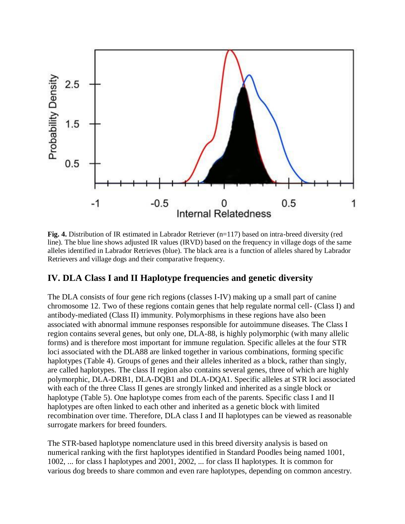

**Fig. 4.** Distribution of IR estimated in Labrador Retriever (n=117) based on intra-breed diversity (red line). The blue line shows adjusted IR values (IRVD) based on the frequency in village dogs of the same alleles identified in Labrador Retrieves (blue). The black area is a function of alleles shared by Labrador Retrievers and village dogs and their comparative frequency.

# **IV. DLA Class I and II Haplotype frequencies and genetic diversity**

The DLA consists of four gene rich regions (classes I-IV) making up a small part of canine chromosome 12. Two of these regions contain genes that help regulate normal cell- (Class I) and antibody-mediated (Class II) immunity. Polymorphisms in these regions have also been associated with abnormal immune responses responsible for autoimmune diseases. The Class I region contains several genes, but only one, DLA-88, is highly polymorphic (with many allelic forms) and is therefore most important for immune regulation. Specific alleles at the four STR loci associated with the DLA88 are linked together in various combinations, forming specific haplotypes (Table 4). Groups of genes and their alleles inherited as a block, rather than singly, are called haplotypes. The class II region also contains several genes, three of which are highly polymorphic, DLA-DRB1, DLA-DQB1 and DLA-DQA1. Specific alleles at STR loci associated with each of the three Class II genes are strongly linked and inherited as a single block or haplotype (Table 5). One haplotype comes from each of the parents. Specific class I and II haplotypes are often linked to each other and inherited as a genetic block with limited recombination over time. Therefore, DLA class I and II haplotypes can be viewed as reasonable surrogate markers for breed founders.

The STR-based haplotype nomenclature used in this breed diversity analysis is based on numerical ranking with the first haplotypes identified in Standard Poodles being named 1001, 1002, ... for class I haplotypes and 2001, 2002, ... for class II haplotypes. It is common for various dog breeds to share common and even rare haplotypes, depending on common ancestry.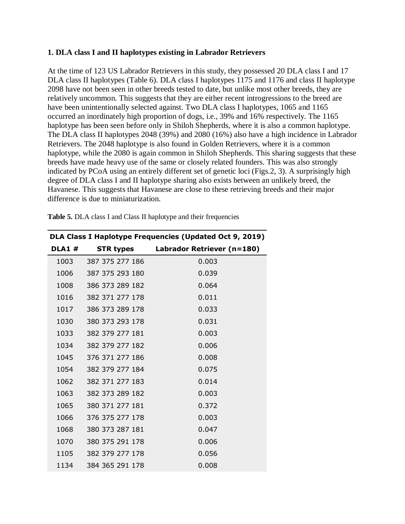#### **1. DLA class I and II haplotypes existing in Labrador Retrievers**

At the time of 123 US Labrador Retrievers in this study, they possessed 20 DLA class I and 17 DLA class II haplotypes (Table 6). DLA class I haplotypes 1175 and 1176 and class II haplotype 2098 have not been seen in other breeds tested to date, but unlike most other breeds, they are relatively uncommon. This suggests that they are either recent introgressions to the breed are have been unintentionally selected against. Two DLA class I haplotypes, 1065 and 1165 occurred an inordinately high proportion of dogs, i.e., 39% and 16% respectively. The 1165 haplotype has been seen before only in Shiloh Shepherds, where it is also a common haplotype. The DLA class II haplotypes 2048 (39%) and 2080 (16%) also have a high incidence in Labrador Retrievers. The 2048 haplotype is also found in Golden Retrievers, where it is a common haplotype, while the 2080 is again common in Shiloh Shepherds. This sharing suggests that these breeds have made heavy use of the same or closely related founders. This was also strongly indicated by PCoA using an entirely different set of genetic loci (Figs.2, 3). A surprisingly high degree of DLA class I and II haplotype sharing also exists between an unlikely breed, the Havanese. This suggests that Havanese are close to these retrieving breeds and their major difference is due to miniaturization.

|               |                      | DLA Class I Haplotype Frequencies (Updated Oct 9, 2019) |
|---------------|----------------------|---------------------------------------------------------|
| <b>DLA1 #</b> |                      | STR types Labrador Retriever (n=180)                    |
|               | 1003 387 375 277 186 | 0.003                                                   |
| 1006          | 387 375 293 180      | 0.039                                                   |
| 1008          | 386 373 289 182      | 0.064                                                   |
|               | 1016 382 371 277 178 | 0.011                                                   |
|               | 1017 386 373 289 178 | 0.033                                                   |
| 1030          | 380 373 293 178      | 0.031                                                   |
| 1033          | 382 379 277 181      | 0.003                                                   |
|               | 1034 382 379 277 182 | 0.006                                                   |
|               | 1045 376 371 277 186 | 0.008                                                   |
| 1054          | 382 379 277 184      | 0.075                                                   |
| 1062          | 382 371 277 183      | 0.014                                                   |
| 1063          | 382 373 289 182      | 0.003                                                   |
| 1065          | 380 371 277 181      | 0.372                                                   |
| 1066          | 376 375 277 178      | 0.003                                                   |
| 1068          | 380 373 287 181      | 0.047                                                   |
| 1070          | 380 375 291 178      | 0.006                                                   |
|               | 1105 382 379 277 178 | 0.056                                                   |
|               | 1134 384 365 291 178 | 0.008                                                   |

**Table 5.** DLA class I and Class II haplotype and their frequencies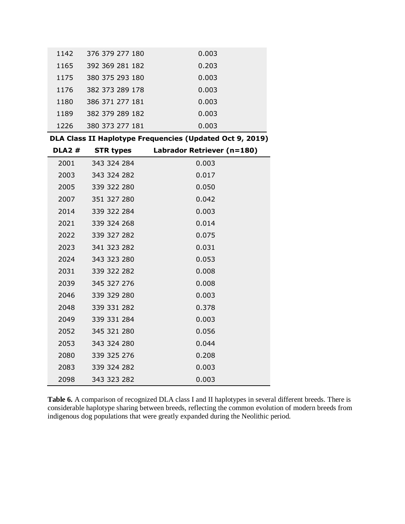| 1142 | 376 379 277 180 | 0.003 |
|------|-----------------|-------|
| 1165 | 392 369 281 182 | 0.203 |
| 1175 | 380 375 293 180 | 0.003 |
| 1176 | 382 373 289 178 | 0.003 |
| 1180 | 386 371 277 181 | 0.003 |
| 1189 | 382 379 289 182 | 0.003 |
| 1226 | 380 373 277 181 | 0.003 |

**DLA Class II Haplotype Frequencies (Updated Oct 9, 2019)**

| <b>DLA2#</b> | <b>STR types</b> | Labrador Retriever (n=180) |
|--------------|------------------|----------------------------|
| 2001         | 343 324 284      | 0.003                      |
| 2003         | 343 324 282      | 0.017                      |
| 2005         | 339 322 280      | 0.050                      |
| 2007         | 351 327 280      | 0.042                      |
| 2014         | 339 322 284      | 0.003                      |
| 2021         | 339 324 268      | 0.014                      |
| 2022         | 339 327 282      | 0.075                      |
| 2023         | 341 323 282      | 0.031                      |
| 2024         | 343 323 280      | 0.053                      |
| 2031         | 339 322 282      | 0.008                      |
| 2039         | 345 327 276      | 0.008                      |
| 2046         | 339 329 280      | 0.003                      |
| 2048         | 339 331 282      | 0.378                      |
| 2049         | 339 331 284      | 0.003                      |
| 2052         | 345 321 280      | 0.056                      |
| 2053         | 343 324 280      | 0.044                      |
| 2080         | 339 325 276      | 0.208                      |
| 2083         | 339 324 282      | 0.003                      |
| 2098         | 343 323 282      | 0.003                      |

**Table 6.** A comparison of recognized DLA class I and II haplotypes in several different breeds. There is considerable haplotype sharing between breeds, reflecting the common evolution of modern breeds from indigenous dog populations that were greatly expanded during the Neolithic period.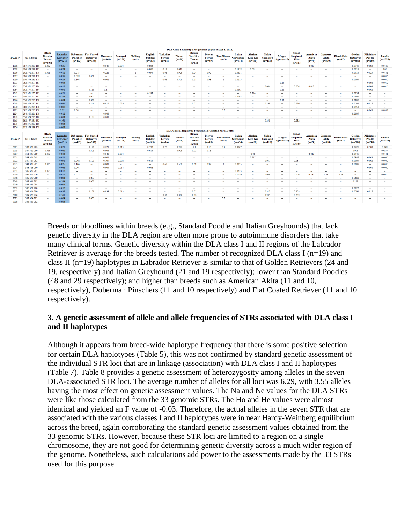|              |                  |                                                               |                                    |                              |                                                              |                              |                             |                           |                                               |                                                |                           |                                                                |                                             | went cause y responsible y reducation (o basica vibr. 6) were   |                                          |                                                |                                               |                          |                                                              |                               |                                              |                                |                                         |                                         |                          |
|--------------|------------------|---------------------------------------------------------------|------------------------------------|------------------------------|--------------------------------------------------------------|------------------------------|-----------------------------|---------------------------|-----------------------------------------------|------------------------------------------------|---------------------------|----------------------------------------------------------------|---------------------------------------------|-----------------------------------------------------------------|------------------------------------------|------------------------------------------------|-----------------------------------------------|--------------------------|--------------------------------------------------------------|-------------------------------|----------------------------------------------|--------------------------------|-----------------------------------------|-----------------------------------------|--------------------------|
| <b>DLA1#</b> | <b>STR</b> types | <b>Black</b><br><b>Russian</b><br><b>Terrier</b><br>$(n=109)$ | Labrador<br>Retriever<br>$(n=121)$ | <b>Pinscher</b><br>$(n=403)$ | <b>Doberman</b> Flat Coated<br><b>Retriever</b><br>$(n=333)$ | <b>Havanese</b><br>$(n=364)$ | <b>Samoved</b><br>$(n=278)$ | <b>Bulldo</b><br>$(n=1)$  | <b>English</b><br><b>Bulldog</b><br>$(n=163)$ | <b>Yorkshire</b><br><b>Terrier</b><br>$(n=10)$ | <b>Biewer</b><br>$(n=90)$ | <b>Biewer</b><br><b>Yorshire</b><br><b>Terrier</b><br>$(n=50)$ | <b>Biewer</b><br><b>Terrier</b><br>$(n=49)$ | <b>Biro Biewer</b><br>$(n=3)$                                   | <b>Italian</b><br>Greyhound<br>$(n=674)$ | <b>Alaskan</b><br><b>Klee Kai</b><br>$(n=450)$ | <b>Shiloh</b><br><b>Shepherd</b><br>$(n=115)$ | Magyar<br>Agar $(n=27)$  | <b>Shilol</b><br><b>Shepherd</b><br><b>ISSA</b><br>$(n=127)$ | American<br>Akita<br>$(n=79)$ | <b>Japanese</b><br><b>Akita</b><br>$(n=300)$ | <b>Blend Akita</b><br>$(n=47)$ | Golden<br>Retriever<br>$(n=688)$        | <b>Miniature</b><br>Poodle<br>$(n=240)$ | Poodle<br>$(n=2028)$     |
| 1006         | 387 375 293 180  | 0.032                                                         | 0.029                              | $\sim$                       | $\sim$                                                       | 0.045                        | 0.004                       | $\sim$                    | 0.003                                         | $\sim$                                         | $\overline{\phantom{a}}$  | $\sim$                                                         | $\sim$                                      | $\sim$                                                          | $\sim$                                   | $\sim$                                         | $\sim$                                        | $\sim$                   | $\sim$                                                       | 0.089                         | $\sim$                                       | $\sim$                         | 0.0145                                  | 0.002                                   | 0.0483                   |
| 1008         | 386 373 289 182  | $\sim$                                                        | 0.074                              | $\sim$                       | $\sim$                                                       | $\sim$                       | $\sim$                      | $\sim$                    | 0.006                                         | 0.13                                           | 0.011                     | $\sim$                                                         | <b>COLLEGE</b>                              | $\sim$                                                          | 0.1358                                   | 0.061                                          | $\sim$                                        | $\sim$                   | $\sim$                                                       | $\sim$                        | $\sim$                                       | $\sim$                         | 0.0015                                  | $\sim$                                  | 0.02                     |
| 1016         | 382 371 277 178  | 0.009                                                         | 0.012                              | 0.015                        | $\sim$                                                       | 0.221                        | $\sim$                      |                           | 0.095                                         | 0.06                                           | 0.028                     | 0.04                                                           | 0.02                                        | $\sim$                                                          | 0.0631                                   | $\sim$                                         | $\sim$                                        | -                        | $\sim$                                                       | $\sim$                        | $\sim$                                       | $\sim$                         | 0.0015                                  | 0.023                                   | 0.0145                   |
| 101          | 386 373 289 178  | $\sim$                                                        | 0.037                              | 0.088                        | 0.458                                                        | <b>Service</b>               | <b>Service</b>              | $\sim$                    | $\sim$                                        | $\sim$                                         | - 11                      | $\sim$                                                         | <b>COL</b>                                  | $\sim$                                                          | <b>Service</b>                           | $\sim$                                         | $\sim$                                        | $\sim$                   | $\sim$                                                       | $\sim$                        | $\sim$                                       | $\sim$                         | $\sim$                                  | $\sim$                                  | 0.0035                   |
| 1030         | 380 373 293 178  | $\sim$                                                        | 0.025                              | 0.104                        | $\sim$                                                       | 0.001                        | $\sim$                      | ÷                         | $\sim$                                        | 0.63                                           | 0.506                     | 0.68                                                           | 0.98                                        | $\mathbf{1}$                                                    | 0.0215                                   | $\sim$                                         | $\sim$                                        | ÷                        | $\sim$                                                       | $\sim$                        | $\sim$                                       | $\sim$                         | 0.0007                                  | <b>1979</b>                             | 0.0032                   |
| 1033         | 382 379 277 181  | $\sim$                                                        | 0.004                              | $\sim$                       | $\sim$                                                       | $\sim$                       | $\sim$                      | $\sim$                    | $\sim$                                        | $\sim$                                         | <b>COL</b>                | $\sim$                                                         | <b>COLLEGE</b>                              | $\sim$                                                          | $\sim$                                   | $\sim$                                         | $\sim$                                        | 0.15                     | <b>Section</b>                                               | $\sim$                        | $\sim$                                       | $\sim$                         | $\sim$                                  | 0.006                                   | 0.0012                   |
| 1045         | 376 371 277 186  | $\sim$                                                        | 0.012                              | $\sim$                       | $\sim$                                                       | $\sim$                       | $\sim$                      | $\sim$                    | $\sim$                                        | $\sim$                                         | $\sim$                    | $\sim$                                                         | $\sim$                                      | $\sim$                                                          | $\sim$                                   | $\sim$                                         | 0.004                                         | $\sim$                   | 0.004                                                        | 0.013                         | $\sim$                                       | $\sim$                         | $\sim$                                  | 0.004                                   | 0.0015                   |
| 1054         | 382 379 277 184  | $\sim$                                                        | 0.091                              | $\sim$                       | 0.119                                                        | 0.11                         | $\sim$                      | $\sim$                    | ÷                                             | $\sim$                                         | $\sim$                    | $\sim$                                                         | $\sim$                                      | $\sim$                                                          | 0.0163                                   | $\sim$                                         | $\sim$                                        | 0.11                     | $\sim$                                                       | $\sim$                        | $\sim$                                       | $\sim$                         | $\sim$                                  | 0.002                                   | $\sim$                   |
| 1062         | 382 371 277 183  | <b>1999</b>                                                   | 0.021                              | <b>.</b>                     | $\sim$                                                       | $\sim$                       | $\sim$                      | $\sim$                    | 0.187                                         | $\sim$                                         | <b>1999</b>               | $\sim$                                                         | $\sim$                                      | $\sim$                                                          | $\sim$                                   | 0.214                                          | $\sim$                                        | <b>Section</b>           | $\sim$                                                       | $\sim$                        | $\sim$                                       | $\sim$                         | 0.0938                                  | $\sim$                                  | <b>1979</b>              |
| 1065         | 380 371 277 181  |                                                               | 0.384                              | $\sim$                       | 0.002                                                        | $\sim$                       | $\sim$                      |                           | $\overline{a}$                                |                                                |                           | $\ddot{\phantom{a}}$                                           | $\sim$                                      | $\sim$                                                          | 0.0007                                   | $\sim$                                         |                                               | $\sim$                   | $\cdots$                                                     | $\sim$                        | $\sim$                                       | $\sim$                         | 0.2602                                  | $\sim$                                  | $\sim$                   |
|              | 376 375 277 178  | $\overline{\phantom{a}}$                                      | 0.004                              | $\sim$                       | 0.002                                                        | $\sim$                       | ÷                           | ÷                         | $\sim$                                        | $\sim$                                         | $\sim$                    | ÷                                                              | $\sim$                                      | $\sim$                                                          | $\sim$                                   | $\sim$                                         | $\sim$                                        | 0.11                     | $\sim$                                                       | $\sim$                        | $\sim$                                       | $\sim$                         | 0.2805                                  | $\sim$                                  | $\overline{\phantom{a}}$ |
| 1068         | 380 373 287 181  | $\sim$                                                        | 0.041                              | $\sim$                       | 0.266                                                        | 0.016                        | 0.029                       | $\sim$                    | $\sim$                                        | $\sim$                                         | -                         | 0.02                                                           | $\sim$                                      | $\sim$                                                          | $\sim$                                   | $\sim$                                         | 0.248                                         | $\sim$                   | 0.236                                                        | $\sim$                        | $\sim$                                       | $\sim$                         | 0.0501                                  | 0.015                                   | $\sim$                   |
| 1070         | 380 375 291 178  |                                                               | 0.008                              | $\sim$                       | $\sim$                                                       | $\sim$                       | $\overline{\phantom{a}}$    | $\sim$                    | -                                             |                                                | $\overline{\phantom{a}}$  | $\sim$                                                         | $\sim$                                      | $\sim$                                                          | $\sim$                                   | $\sim$                                         | $\sim$                                        | $\sim$                   | $\sim$                                                       | $\overline{\phantom{a}}$      | $\sim$                                       | $\sim$                         | 0.0153                                  | $\sim$                                  | $\sim$                   |
| 1105         | 382 379 277 178  | $\sim$                                                        | 0.07                               | 0.001                        | $\sim$                                                       | $\sim$                       | $\sim$                      |                           | $\sim$                                        |                                                | $\sim$                    | $\sim$                                                         | $\sim$                                      | 0.7                                                             | $\sim$                                   | $\sim$                                         | $\sim$                                        | $\sim$                   | $\sim$                                                       | $\sim$                        | $\sim$                                       | $\sim$                         | $\sim$                                  | 0.063                                   | 0.0002                   |
| 1134         | 384 365 291 178  | $\sim$                                                        | 0.012                              | $\sim$                       | $\sim$                                                       | 0.003                        | $\sim$                      | $\sim$                    | $\sim$                                        | $\sim$                                         | $\sim$                    | $\sim$                                                         | $\sim$                                      | $\sim$                                                          | $\sim$                                   | $\sim$                                         | $\sim$                                        | $\sim$                   | $\sim$                                                       | $\sim$                        | $\sim$                                       | $\sim$                         | 0.0007                                  | $\sim$                                  | $\sim$                   |
| 1142         | 376 379 277 180  | $\sim$                                                        | 0.004                              | $\sim$                       | 0.144                                                        | 0.001                        | $\sim$                      | $\sim$                    | $\sim$                                        | $\sim$                                         | $\sim$                    | $\sim$                                                         | $\sim$                                      | $\sim$                                                          | $\sim$                                   | $\sim$                                         | $\sim$                                        | $\sim$                   | $\sim$                                                       | $\sim$                        | $\sim$                                       | $\sim$                         | $\sim$                                  | -                                       |                          |
| 1165         | 392 369 281 182  | $\sim$                                                        | 0.161                              | $\sim$                       | $\sim$                                                       | $\sim$                       | $\sim$                      | $\sim$                    | $\sim$                                        |                                                | $\sim$                    | $\sim$                                                         | $\sim$                                      | $\sim$                                                          | $\sim$                                   | $\sim$                                         | 0.235                                         | $\sim$                   | 0.232                                                        | $\sim$                        | $\sim$                                       |                                | $\sim$                                  |                                         |                          |
| 1175         | 380 375 293 180  | $\sim$                                                        | 0.004                              | ۰.                           | $\sim$                                                       | $\sim$                       | $\sim$                      | $\sim$                    | $\sim$                                        | $\sim$                                         | $\sim$                    | $\sim$                                                         | $\sim$                                      | $\sim$                                                          | $\sim$                                   | $\sim$                                         | $\sim$                                        | $\overline{\phantom{a}}$ | $\sim$                                                       | ÷                             | $\sim$                                       | $\sim$                         | $\sim$                                  | $\sim$                                  | -                        |
| 1176         | 382 373 289 178  | $\sim$                                                        | 0.004                              | $\sim$                       | $\sim$                                                       | $\sim$                       | $\sim$                      | $\sim$                    | $\sim$                                        | $\sim$                                         |                           | $\sim$                                                         | $\sim$                                      | $\sim$                                                          | $\sim$                                   | $\sim$                                         | $\sim$                                        | $\sim$                   | $\sim$                                                       | $\sim$                        | $\sim$                                       | $\sim$                         | $\sim$                                  | $\sim$                                  | $\sim$                   |
|              |                  |                                                               |                                    |                              |                                                              |                              |                             |                           |                                               |                                                |                           |                                                                |                                             | <b>DLA Class II Haplotype Frequencies (Updated Apr 5, 2018)</b> |                                          |                                                |                                               |                          |                                                              |                               |                                              |                                |                                         |                                         |                          |
| <b>DLA2#</b> | <b>STR</b> types | <b>Black</b><br><b>Russian</b><br><b>Terrier</b><br>$(n=109)$ | Labrador<br>Retriever<br>$(n=121)$ | <b>Pinscher</b><br>$(n=403)$ | <b>Doberman</b> Flat Coated<br><b>Retriever</b><br>$(n=333)$ | <b>Havanese</b><br>$(n=364)$ | <b>Samoved</b><br>$(n=278)$ | <b>Bulldos</b><br>$(n=1)$ | English<br>Bulldog<br>$(n=163)$               | <b>Yorkshire</b><br><b>Terrier</b><br>$(n=16)$ | <b>Biewer</b><br>$(n=90)$ | <b>Biewer</b><br><b>Yorshire</b><br><b>Terrier</b><br>$(n=50)$ | <b>Biewer</b><br><b>Terrier</b><br>$(n=49)$ | <b>Biro Biewer</b><br>$(n=3)$                                   | Italian<br><b>Greyhound</b><br>$(n=674)$ | Alaskan<br><b>Klee Kai</b><br>$(n=450)$        | <b>Shiloh</b><br><b>Shepherd</b><br>$(n=115)$ | Magyar<br>Agar $(n=27)$  | <b>Shilol</b><br><b>Shepherd</b><br><b>ISSA</b><br>$(n=127)$ | American<br>Akita<br>$(n=79)$ | <b>Japanese</b><br>Akita<br>$(n=300)$        | <b>Blend Akita</b><br>$(n=47)$ | Golden<br><b>Retriever</b><br>$(n=688)$ | Miniature<br>Poodle<br>$(n=240)$        | Poodle<br>$(n=2028)$     |
| 2003         | 343 324 282      | $\sim$                                                        | 0.021                              | $\sim$                       | 0.129                                                        | 0.221                        | 0.013                       | $\sim$                    | 0.598                                         | 0.75                                           | 0.222                     | 0.4                                                            | 0.43                                        | 0.3                                                             | 0.0067                                   | $\sim$                                         | $\sim$                                        | $\sim$                   | $\sim$                                                       | $\sim$                        | $\sim$                                       | $\sim$                         | 0.0225                                  | 0.508                                   | 0.092                    |
| 2005         | 339 322 280      | 0.018                                                         | 0.062                              | $\sim$                       | 0.425                                                        | 0.003                        | $\sim$                      | $\sim$                    | 0.015                                         | $\sim$                                         | 0.028                     | 0.02                                                           | 0.18                                        | $\sim$                                                          | $\sim$                                   | $\sim$                                         | $\sim$                                        | -                        | $\sim$                                                       | $\sim$                        | $\sim$                                       | $\sim$                         | 0.016                                   | $\sim$                                  | 0.0234                   |
| 2007         | 351 327 280      | 0.032                                                         | 0.033                              | $\sim$                       | $\sim$                                                       | 0.049                        | 0.004                       | $\sim$                    | $\sim$                                        | $\sim$                                         | $\sim$                    | $\sim$                                                         | $\sim$                                      | $\sim$                                                          | $\sim$                                   | 0.01                                           | $\sim$                                        | $\sim$                   | $\cdots$                                                     | 0.089                         | $\sim$                                       | $\sim$                         | 0.0145                                  | $\sim$                                  | 0.0148                   |
| 2021         | 339 324 268      | $\sim$                                                        | 0.021                              | $\sim$                       | $\sim$                                                       | 0.001                        | $\sim$                      |                           | $\sim$                                        |                                                | ÷                         | ÷                                                              |                                             | ÷                                                               | $\overline{\phantom{a}}$                 | 0.217                                          | $\sim$                                        | ÷                        | $\sim$                                                       |                               | $\sim$                                       | ÷                              | 0.0945                                  | 0.063                                   | 0.0005                   |
| 2022         | 339 327 282      | $\sim$                                                        | 0.091                              | 0.002                        | 0.123                                                        | 0.109                        | 0.092                       | $\sim$                    | 0.015                                         | <b>Service</b>                                 | $\sim$                    | <b>Service</b>                                                 | $\sim$                                      | <b>Service</b>                                                  | $\sim$                                   | <b>Service</b>                                 | 0.057                                         | <b>COL</b>               | 0.051                                                        | $\sim$                        | $\sim$                                       | $\sim$                         | 0.0007                                  | 0.002                                   | 0.0002                   |
| 2023         | 341 323 282      | 0.005                                                         | 0.025                              | 0.104                        | $\sim$                                                       | 0.001                        | $\sim$                      | $\sim$                    | $\sim$                                        | 0.63                                           | 0.506                     | 0.68                                                           | 0.98                                        | $\mathbf{1}$                                                    | 0.0215                                   | $\sim$                                         | $\sim$                                        | $\sim$                   | $\sim$                                                       | $\sim$                        | $\sim$                                       | $\sim$                         | 0.0007                                  | $\sim$                                  | 0.0032                   |
| 2024         | 343 323 280      | $\sim$                                                        | 0.066                              | 0.001                        | $\sim$                                                       | 0.004                        | 0.014                       | $\sim$                    | 0.006                                         |                                                | $\sim$                    | $\ddot{\phantom{a}}$                                           | $\sim$                                      | $\sim$                                                          | $\sim$                                   | $\sim$                                         |                                               | $\sim$                   | $\sim$                                                       | $\sim$                        | $\overline{\phantom{a}}$                     |                                | $\sim$                                  | 0.008                                   | 0.0002                   |
| 2031         | 339 322 282      | 0.023                                                         | 0.012                              | -                            | $\sim$                                                       | $\sim$                       | $\sim$                      | $\sim$                    | $\sim$                                        | $\sim$                                         | $\sim$                    | $\sim$                                                         | $\sim$                                      | $\sim$                                                          | 0.0623                                   | $\sim$                                         | $\sim$                                        | $\sim$                   | $\sim$                                                       | $\sim$                        | $\sim$                                       | $\sim$                         | <b>Section</b>                          | <b>.</b>                                | - -                      |
| 2039         | 345 327 276      | $\sim$                                                        | 0.012                              | 0.012                        | $\sim$                                                       | $\sim$                       | $\sim$                      | $\sim$                    | $\sim$                                        | $\sim$                                         | $\sim$                    | $\sim$                                                         | $\sim$                                      | $\sim$                                                          | 0.1039                                   | $\sim$                                         | 0.004                                         | $\sim$                   | 0.004                                                        | 0.165                         | 0.18                                         | 0.34                           | $\sim$                                  | $\sim$                                  | 0.0015                   |
| 2046         | 339 329 280      | $\sim$                                                        | 0.004                              | $\sim$                       | 0.002                                                        | $\sim$                       | $\sim$                      |                           | $\sim$                                        |                                                | $\sim$                    | $\sim$                                                         | -                                           | $\sim$                                                          | $\sim$                                   | $\sim$                                         |                                               | $\sim$                   | $\sim$                                                       | $\sim$                        | $\sim$                                       | $\sim$                         | 0.2689                                  | $\sim$                                  | $\sim$                   |
| 2048         | 339 331 282      | $\sim$                                                        | 0.384                              | $\sim$                       | 0.002                                                        | $\sim$                       | $\sim$                      | $\sim$                    | $\sim$                                        | $\sim$                                         | $\sim$                    | $\sim$                                                         | $\sim$                                      | $\sim$                                                          | $\sim$                                   | $\sim$                                         | $\sim$                                        | $\sim$                   | $\sim$                                                       | $\sim$                        | $\sim$                                       | $\sim$                         | 0.258                                   | $\sim$                                  | $\sim$                   |
| 2049         | 339 331 284      | $\sim$                                                        | 0.004                              | $\sim$                       | $\sim$                                                       | $\sim$                       | $\sim$                      | ÷                         | $\sim$                                        | $\sim$                                         | $\sim$                    | $\sim$                                                         | $\sim$                                      | $\sim$                                                          | $\sim$                                   | $\sim$                                         | $\sim$                                        | $\sim$                   | $\sim$                                                       | $\sim$                        | $\sim$                                       | $\sim$                         | $\sim$                                  | $\sim$                                  | ÷                        |
| 2052         | 345 321 280      | $\sim$                                                        | 0.058                              | $\sim$                       | $\sim$                                                       | $\sim$                       | $\sim$                      | $\sim$                    | $\sim$                                        |                                                | <b>COL</b>                | $\sim$                                                         | $\sim$                                      | $\sim$                                                          | $\sim$                                   | $\sim$                                         | $\sim$                                        | $\sim$                   | $\sim$                                                       | $\sim$                        | $\sim$                                       | $\sim$                         | 0.0022                                  | $\sim$                                  | $\sim$                   |
| 2053         | 343 324 280      | $\sim$                                                        | 0.037                              | <b>COL</b>                   | 0.138                                                        | 0.038                        | 0.613                       | $\sim$                    | $\sim$                                        | $\sim$                                         | <b>COL</b>                | 0.02                                                           | $\sim$                                      | $\sim$                                                          | $\sim$                                   | $\mathbf{r}$                                   | 0.317                                         | $\sim$                   | 0.303                                                        | $\sim$                        | $\mathbf{r}$                                 | $\sim$                         | 0.0291                                  | 0.015                                   | $\sim$                   |
| 2080         | 339 325 276      | $\sim$                                                        | 0.161                              | $\sim$                       | $\sim$                                                       | $\sim$                       | $\sim$                      | $\sim$                    | $\sim$                                        | 0.06                                           | 0.006                     | 0.02                                                           | $\sim$                                      | $\sim$                                                          | $\sim$                                   | $\sim$                                         | 0.235                                         | -                        | 0.232                                                        | $\sim$                        | $\sim$                                       | $\sim$                         | $\sim$                                  | $\sim$                                  | -                        |
| 2083         | 339 324 282      | $\sim$                                                        | 0.004                              | $\sim$                       | 0.003                                                        | $\sim$                       | $\sim$                      | $\sim$                    | $\sim$                                        | $\sim$                                         | $\sim$                    | $\sim$                                                         | $\sim$                                      | 0.7                                                             | $\sim$                                   | $\sim$                                         | $\sim$                                        | $\sim$                   | $\sim$                                                       | $\sim$                        | $\sim$                                       | $\sim$                         | $\sim$                                  |                                         | $\sim$                   |
| 2098         | 343 323 282      |                                                               | 0.004                              |                              |                                                              |                              |                             |                           |                                               |                                                |                           |                                                                |                                             |                                                                 |                                          |                                                |                                               |                          |                                                              |                               |                                              |                                | $\sim$                                  |                                         |                          |
|              |                  |                                                               |                                    |                              |                                                              |                              |                             |                           |                                               |                                                |                           |                                                                |                                             |                                                                 |                                          |                                                |                                               |                          |                                                              |                               |                                              |                                |                                         |                                         |                          |

Breeds or bloodlines within breeds (e.g., Standard Poodle and Italian Greyhounds) that lack genetic diversity in the DLA region are often more prone to autoimmune disorders that take many clinical forms. Genetic diversity within the DLA class I and II regions of the Labrador Retriever is average for the breeds tested. The number of recognized DLA class I ( $n=19$ ) and class II (n=19) haplotypes in Labrador Retriever is similar to that of Golden Retrievers (24 and 19, respectively) and Italian Greyhound (21 and 19 respectively); lower than Standard Poodles (48 and 29 respectively); and higher than breeds such as American Akita (11 and 10, respectively), Doberman Pinschers (11 and 10 respectively) and Flat Coated Retriever (11 and 10 respectively).

#### **3. A genetic assessment of allele and allele frequencies of STRs associated with DLA class I and II haplotypes**

Although it appears from breed-wide haplotype frequency that there is some positive selection for certain DLA haplotypes (Table 5), this was not confirmed by standard genetic assessment of the individual STR loci that are in linkage (association) with DLA class I and II haplotypes (Table 7). Table 8 provides a genetic assessment of heterozygosity among alleles in the seven DLA-associated STR loci. The average number of alleles for all loci was 6.29, with 3.55 alleles having the most effect on genetic assessment values. The Na and Ne values for the DLA STRs were like those calculated from the 33 genomic STRs. The Ho and He values were almost identical and yielded an F value of -0.03. Therefore, the actual alleles in the seven STR that are associated with the various classes I and II haplotypes were in near Hardy-Weinberg equilibrium across the breed, again corroborating the standard genetic assessment values obtained from the 33 genomic STRs. However, because these STR loci are limited to a region on a single chromosome, they are not good for determining genetic diversity across a much wider region of the genome. Nonetheless, such calculations add power to the assessments made by the 33 STRs used for this purpose.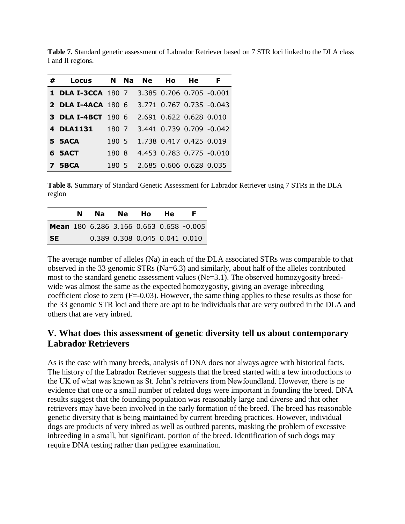| # | Locus                     |       |   | N Na Ne | Ho                      | He. | F                        |
|---|---------------------------|-------|---|---------|-------------------------|-----|--------------------------|
|   | <b>1 DLA I-3CCA</b> 180 7 |       |   |         |                         |     | 3.385 0.706 0.705 -0.001 |
|   | <b>2 DLA I-4ACA 180 6</b> |       |   |         |                         |     | 3.771 0.767 0.735 -0.043 |
|   | 3 DLA I-4BCT              | 1806  |   |         | 2.691 0.622 0.628 0.010 |     |                          |
|   | 4 DLA1131                 | 180 7 |   |         |                         |     | 3.441 0.739 0.709 -0.042 |
|   | 5 5ACA                    | 180 5 |   |         | 1.738 0.417 0.425 0.019 |     |                          |
|   | 6 SACT                    | 180.  | 8 |         |                         |     | 4.453 0.783 0.775 -0.010 |
|   | 7 5BCA                    | 1805  |   |         | 2.685 0.606 0.628 0.035 |     |                          |

**Table 7.** Standard genetic assessment of Labrador Retriever based on 7 STR loci linked to the DLA class I and II regions.

**Table 8.** Summary of Standard Genetic Assessment for Labrador Retriever using 7 STRs in the DLA region

|           | N | Na l | Ne l | Ho.                           | He |                                         |
|-----------|---|------|------|-------------------------------|----|-----------------------------------------|
|           |   |      |      |                               |    | Mean 180 6.286 3.166 0.663 0.658 -0.005 |
| <b>SE</b> |   |      |      | 0.389 0.308 0.045 0.041 0.010 |    |                                         |

The average number of alleles (Na) in each of the DLA associated STRs was comparable to that observed in the 33 genomic STRs (Na=6.3) and similarly, about half of the alleles contributed most to the standard genetic assessment values (Ne=3.1). The observed homozygosity breedwide was almost the same as the expected homozygosity, giving an average inbreeding coefficient close to zero (F=-0.03). However, the same thing applies to these results as those for the 33 genomic STR loci and there are apt to be individuals that are very outbred in the DLA and others that are very inbred.

# **V. What does this assessment of genetic diversity tell us about contemporary Labrador Retrievers**

As is the case with many breeds, analysis of DNA does not always agree with historical facts. The history of the Labrador Retriever suggests that the breed started with a few introductions to the UK of what was known as St. John's retrievers from Newfoundland. However, there is no evidence that one or a small number of related dogs were important in founding the breed. DNA results suggest that the founding population was reasonably large and diverse and that other retrievers may have been involved in the early formation of the breed. The breed has reasonable genetic diversity that is being maintained by current breeding practices. However, individual dogs are products of very inbred as well as outbred parents, masking the problem of excessive inbreeding in a small, but significant, portion of the breed. Identification of such dogs may require DNA testing rather than pedigree examination.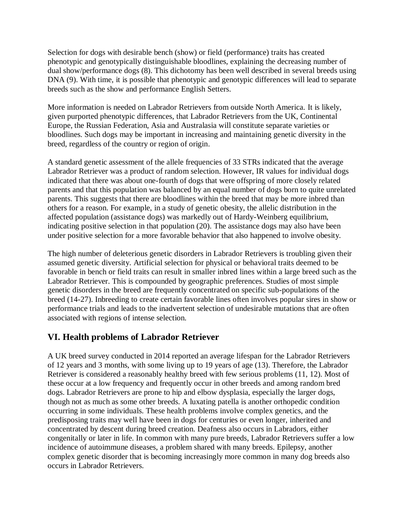Selection for dogs with desirable bench (show) or field (performance) traits has created phenotypic and genotypically distinguishable bloodlines, explaining the decreasing number of dual show/performance dogs (8). This dichotomy has been well described in several breeds using DNA (9). With time, it is possible that phenotypic and genotypic differences will lead to separate breeds such as the show and performance English Setters.

More information is needed on Labrador Retrievers from outside North America. It is likely, given purported phenotypic differences, that Labrador Retrievers from the UK, Continental Europe, the Russian Federation, Asia and Australasia will constitute separate varieties or bloodlines. Such dogs may be important in increasing and maintaining genetic diversity in the breed, regardless of the country or region of origin.

A standard genetic assessment of the allele frequencies of 33 STRs indicated that the average Labrador Retriever was a product of random selection. However, IR values for individual dogs indicated that there was about one-fourth of dogs that were offspring of more closely related parents and that this population was balanced by an equal number of dogs born to quite unrelated parents. This suggests that there are bloodlines within the breed that may be more inbred than others for a reason. For example, in a study of genetic obesity, the allelic distribution in the affected population (assistance dogs) was markedly out of Hardy-Weinberg equilibrium, indicating positive selection in that population (20). The assistance dogs may also have been under positive selection for a more favorable behavior that also happened to involve obesity.

The high number of deleterious genetic disorders in Labrador Retrievers is troubling given their assumed genetic diversity. Artificial selection for physical or behavioral traits deemed to be favorable in bench or field traits can result in smaller inbred lines within a large breed such as the Labrador Retriever. This is compounded by geographic preferences. Studies of most simple genetic disorders in the breed are frequently concentrated on specific sub-populations of the breed (14-27). Inbreeding to create certain favorable lines often involves popular sires in show or performance trials and leads to the inadvertent selection of undesirable mutations that are often associated with regions of intense selection.

# **VI. Health problems of Labrador Retriever**

A UK breed survey conducted in 2014 reported an average lifespan for the Labrador Retrievers of 12 years and 3 months, with some living up to 19 years of age (13). Therefore, the Labrador Retriever is considered a reasonably healthy breed with few serious problems (11, 12). Most of these occur at a low frequency and frequently occur in other breeds and among random bred dogs. Labrador Retrievers are prone to hip and elbow dysplasia, especially the larger dogs, though not as much as some other breeds. A luxating patella is another orthopedic condition occurring in some individuals. These health problems involve complex genetics, and the predisposing traits may well have been in dogs for centuries or even longer, inherited and concentrated by descent during breed creation. Deafness also occurs in Labradors, either congenitally or later in life. In common with many pure breeds, Labrador Retrievers suffer a low incidence of autoimmune diseases, a problem shared with many breeds. Epilepsy, another complex genetic disorder that is becoming increasingly more common in many dog breeds also occurs in Labrador Retrievers.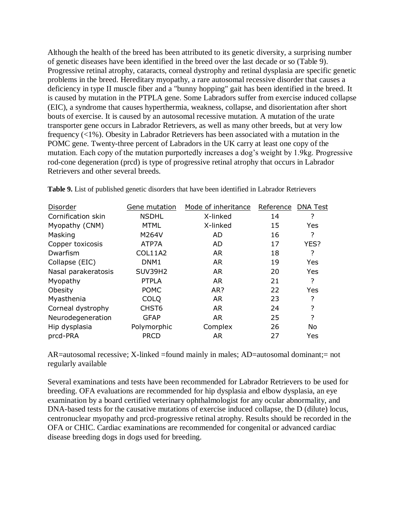Although the health of the breed has been attributed to its genetic diversity, a surprising number of genetic diseases have been identified in the breed over the last decade or so (Table 9). Progressive retinal atrophy, cataracts, corneal dystrophy and retinal dysplasia are specific genetic problems in the breed. Hereditary myopathy, a rare autosomal recessive disorder that causes a deficiency in type II muscle fiber and a "bunny hopping" gait has been identified in the breed. It is caused by mutation in the PTPLA gene. Some Labradors suffer from exercise induced collapse (EIC), a syndrome that causes hyperthermia, weakness, collapse, and disorientation after short bouts of exercise. It is caused by an autosomal recessive mutation. A mutation of the urate transporter gene occurs in Labrador Retrievers, as well as many other breeds, but at very low frequency (<1%). Obesity in Labrador Retrievers has been associated with a mutation in the POMC gene. Twenty-three percent of Labradors in the UK carry at least one copy of the mutation. Each copy of the mutation purportedly increases a dog's weight by 1.9kg. Progressive rod-cone degeneration (prcd) is type of progressive retinal atrophy that occurs in Labrador Retrievers and other several breeds.

| Disorder            | Gene mutation     | Mode of inheritance | Reference | DNA Test  |
|---------------------|-------------------|---------------------|-----------|-----------|
| Cornification skin  | <b>NSDHL</b>      | X-linked            | 14        | ?         |
| Myopathy (CNM)      | <b>MTML</b>       | X-linked            | 15        | Yes       |
| Masking             | M264V             | AD                  | 16        | ?         |
| Copper toxicosis    | ATP7A             | AD.                 | 17        | YES?      |
| Dwarfism            | <b>COL11A2</b>    | <b>AR</b>           | 18        | ?         |
| Collapse (EIC)      | DNM <sub>1</sub>  | <b>AR</b>           | 19        | Yes       |
| Nasal parakeratosis | <b>SUV39H2</b>    | <b>AR</b>           | 20        | Yes       |
| Myopathy            | <b>PTPLA</b>      | <b>AR</b>           | 21        | ?         |
| Obesity             | <b>POMC</b>       | AR?                 | 22        | Yes       |
| Myasthenia          | <b>COLO</b>       | <b>AR</b>           | 23        | ?         |
| Corneal dystrophy   | CHST <sub>6</sub> | <b>AR</b>           | 24        | ?         |
| Neurodegeneration   | <b>GFAP</b>       | <b>AR</b>           | 25        | ?         |
| Hip dysplasia       | Polymorphic       | Complex             | 26        | <b>No</b> |
| prcd-PRA            | <b>PRCD</b>       | <b>AR</b>           | 27        | Yes       |

**Table 9.** List of published genetic disorders that have been identified in Labrador Retrievers

AR=autosomal recessive; X-linked =found mainly in males; AD=autosomal dominant;= not regularly available

Several examinations and tests have been recommended for Labrador Retrievers to be used for breeding. OFA evaluations are recommended for hip dysplasia and elbow dysplasia, an eye examination by a board certified veterinary ophthalmologist for any ocular abnormality, and DNA-based tests for the causative mutations of exercise induced collapse, the D (dilute) locus, centronuclear myopathy and prcd-progressive retinal atrophy. Results should be recorded in the OFA or CHIC. Cardiac examinations are recommended for congenital or advanced cardiac disease breeding dogs in dogs used for breeding.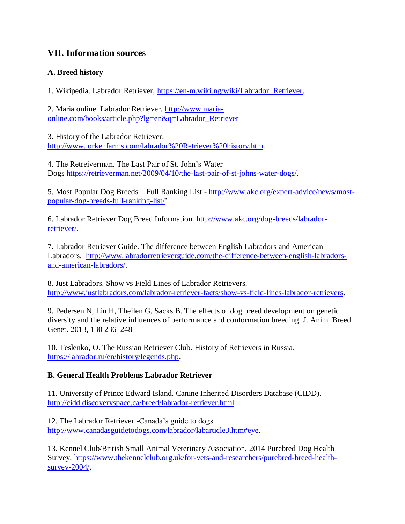# **VII. Information sources**

### **A. Breed history**

1. Wikipedia. Labrador Retriever, [https://en-m.wiki.ng/wiki/Labrador\\_Retriever.](https://en-m.wiki.ng/wiki/Labrador_Retriever)

2. Maria online. Labrador Retriever. [http://www.maria](http://www.maria-online.com/books/article.php?lg=en&q=Labrador_Retriever)[online.com/books/article.php?lg=en&q=Labrador\\_Retriever](http://www.maria-online.com/books/article.php?lg=en&q=Labrador_Retriever)

3. History of the Labrador Retriever. [http://www.lorkenfarms.com/labrador%20Retriever%20history.htm.](http://www.lorkenfarms.com/labrador%20Retriever%20history.htm)

4. The Retreiverman. The Last Pair of St. John's Water Dogs [https://retrieverman.net/2009/04/10/the-last-pair-of-st-johns-water-dogs/.](https://retrieverman.net/2009/04/10/the-last-pair-of-st-johns-water-dogs/)

5. Most Popular Dog Breeds – Full Ranking List - [http://www.akc.org/expert-advice/news/most](http://www.akc.org/expert-advice/news/most-popular-dog-breeds-full-ranking-list/)[popular-dog-breeds-full-ranking-list/'](http://www.akc.org/expert-advice/news/most-popular-dog-breeds-full-ranking-list/)

6. Labrador Retriever Dog Breed Information. [http://www.akc.org/dog-breeds/labrador](http://www.akc.org/dog-breeds/labrador-retriever/)[retriever/.](http://www.akc.org/dog-breeds/labrador-retriever/)

7. Labrador Retriever Guide. The difference between English Labradors and American Labradors. [http://www.labradorretrieverguide.com/the-difference-between-english-labradors](http://www.labradorretrieverguide.com/the-difference-between-english-labradors-and-american-labradors/)[and-american-labradors/.](http://www.labradorretrieverguide.com/the-difference-between-english-labradors-and-american-labradors/)

8. Just Labradors. Show vs Field Lines of Labrador Retrievers. [http://www.justlabradors.com/labrador-retriever-facts/show-vs-field-lines-labrador-retrievers.](http://www.justlabradors.com/labrador-retriever-facts/show-vs-field-lines-labrador-retrievers)

9. Pedersen N, Liu H, Theilen G, Sacks B. The effects of dog breed development on genetic diversity and the relative influences of performance and conformation breeding. J. Anim. Breed. Genet. 2013, 130 236–248

10. Teslenko, O. The Russian Retriever Club*.* [History of Retrievers in Russia.](http://www.labrador.ru/en/history/legends.php) [https://labrador.ru/en/history/legends.php.](https://labrador.ru/en/history/legends.php)

### **B. General Health Problems Labrador Retriever**

11. University of Prince Edward Island. Canine Inherited Disorders Database (CIDD). [http://cidd.discoveryspace.ca/breed/labrador-retriever.html.](http://cidd.discoveryspace.ca/breed/labrador-retriever.html)

12. The Labrador Retriever -Canada's guide to dogs. [http://www.canadasguidetodogs.com/labrador/labarticle3.htm#eye.](http://www.canadasguidetodogs.com/labrador/labarticle3.htm#eye)

13. Kennel Club/British Small Animal Veterinary Association. [2014 Purebred Dog Health](http://www.thekennelclub.org.uk/media/16574/labrador%20retriever.pdf)  [Survey.](http://www.thekennelclub.org.uk/media/16574/labrador%20retriever.pdf) [https://www.thekennelclub.org.uk/for-vets-and-researchers/purebred-breed-health](https://www.thekennelclub.org.uk/for-vets-and-researchers/purebred-breed-health-survey-2004/)[survey-2004/.](https://www.thekennelclub.org.uk/for-vets-and-researchers/purebred-breed-health-survey-2004/)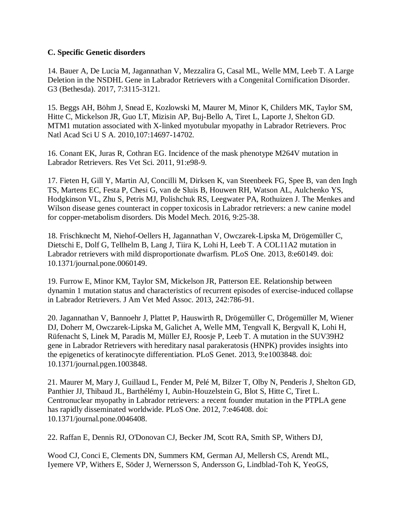#### **C. Specific Genetic disorders**

14. Bauer A, De Lucia M, Jagannathan V, Mezzalira G, Casal ML, Welle MM, Leeb T. A Large Deletion in the NSDHL Gene in Labrador Retrievers with a Congenital Cornification Disorder. G3 (Bethesda). 2017, 7:3115-3121.

15. Beggs AH, Böhm J, Snead E, Kozlowski M, Maurer M, Minor K, Childers MK, Taylor SM, Hitte C, Mickelson JR, Guo LT, Mizisin AP, Buj-Bello A, Tiret L, Laporte J, Shelton GD. MTM1 mutation associated with X-linked myotubular myopathy in Labrador Retrievers. Proc Natl Acad Sci U S A. 2010,107:14697-14702.

16. Conant EK, Juras R, Cothran EG. Incidence of the mask phenotype M264V mutation in Labrador Retrievers. Res Vet Sci. 2011, 91:e98-9.

17. Fieten H, Gill Y, Martin AJ, Concilli M, Dirksen K, van Steenbeek FG, Spee B, van den Ingh TS, Martens EC, Festa P, Chesi G, van de Sluis B, Houwen RH, Watson AL, Aulchenko YS, Hodgkinson VL, Zhu S, Petris MJ, Polishchuk RS, Leegwater PA, Rothuizen J. The Menkes and Wilson disease genes counteract in copper toxicosis in Labrador retrievers: a new canine model for copper-metabolism disorders. Dis Model Mech. 2016, 9:25-38.

18. Frischknecht M, Niehof-Oellers H, Jagannathan V, Owczarek-Lipska M, Drögemüller C, Dietschi E, Dolf G, Tellhelm B, Lang J, Tiira K, Lohi H, Leeb T. A COL11A2 mutation in Labrador retrievers with mild disproportionate dwarfism. PLoS One. 2013, 8:e60149. doi: 10.1371/journal.pone.0060149.

19. Furrow E, Minor KM, Taylor SM, Mickelson JR, Patterson EE. Relationship between dynamin 1 mutation status and characteristics of recurrent episodes of exercise-induced collapse in Labrador Retrievers. J Am Vet Med Assoc. 2013, 242:786-91.

20. Jagannathan V, Bannoehr J, Plattet P, Hauswirth R, Drögemüller C, Drögemüller M, Wiener DJ, Doherr M, Owczarek-Lipska M, Galichet A, Welle MM, Tengvall K, Bergvall K, Lohi H, Rüfenacht S, Linek M, Paradis M, Müller EJ, Roosje P, Leeb T. A mutation in the SUV39H2 gene in Labrador Retrievers with hereditary nasal parakeratosis (HNPK) provides insights into the epigenetics of keratinocyte differentiation. PLoS Genet. 2013, 9:e1003848. doi: 10.1371/journal.pgen.1003848.

21. Maurer M, Mary J, Guillaud L, Fender M, Pelé M, Bilzer T, Olby N, Penderis J, Shelton GD, Panthier JJ, Thibaud JL, Barthélémy I, Aubin-Houzelstein G, Blot S, Hitte C, Tiret L. Centronuclear myopathy in Labrador retrievers: a recent founder mutation in the PTPLA gene has rapidly disseminated worldwide. PLoS One. 2012, 7:e46408. doi: 10.1371/journal.pone.0046408.

22. Raffan E, Dennis RJ, O'Donovan CJ, Becker JM, Scott RA, Smith SP, Withers DJ,

Wood CJ, Conci E, Clements DN, Summers KM, German AJ, Mellersh CS, Arendt ML, Iyemere VP, Withers E, Söder J, Wernersson S, Andersson G, Lindblad-Toh K, YeoGS,